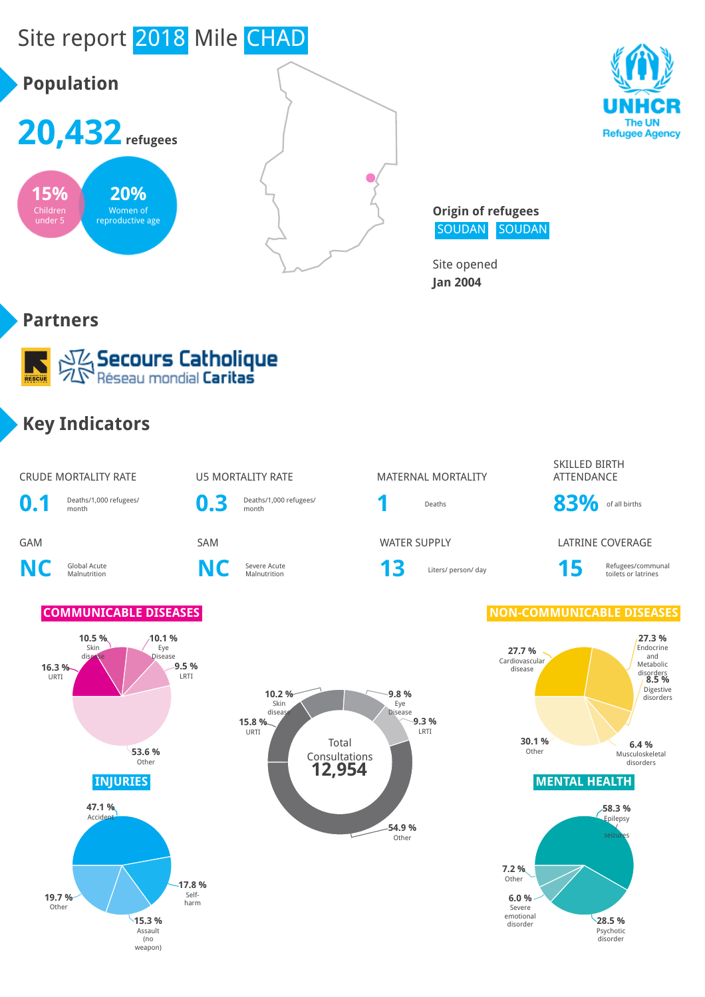



**Origin of refugees** SOUDAN SOUDAN

Site opened **Jan 2004**

#### **Partners**



#### **Key Indicators**

#### CRUDE MORTALITY RATE U5 MORTALITY RATE MATERNAL MORTALITY SKILLED BIRTH ATTENDANCE **0.1** Deaths/1,000 refugees/ **0.3** Deaths/1,000 refugees/ Deaths **83%** of all births GAM SAM WATER SUPPLY LATRINE COVERAGE **NC** Global Acute **C** Severe Acute<br>Malnutrition **NC** Severe Acute Severe Acute **13** Liters/ person/ day **15** Refugees/communal Refugees/communal toilets or latrines **COMMUNICABLE DISEASES NON-COMMUNICABLE DISEASES 16.3 %** URTI **10.5 %** Skin dise **10.1 %** Eye Disease **9.5 %** LRTI **53.6 % Other 27.7 %** Cardiovascular disease **27.3 %** Endocrine and Metabolic disorders **8.5 %** Digestive disorders **6.4 %** Musculoskeletal disorders **30.1 %** Other Total Consultations **15.8 %** URTI **10.2 %** Skin diseas **9.8 %** Eye Disease **9.3 %** LRTI **12,954**





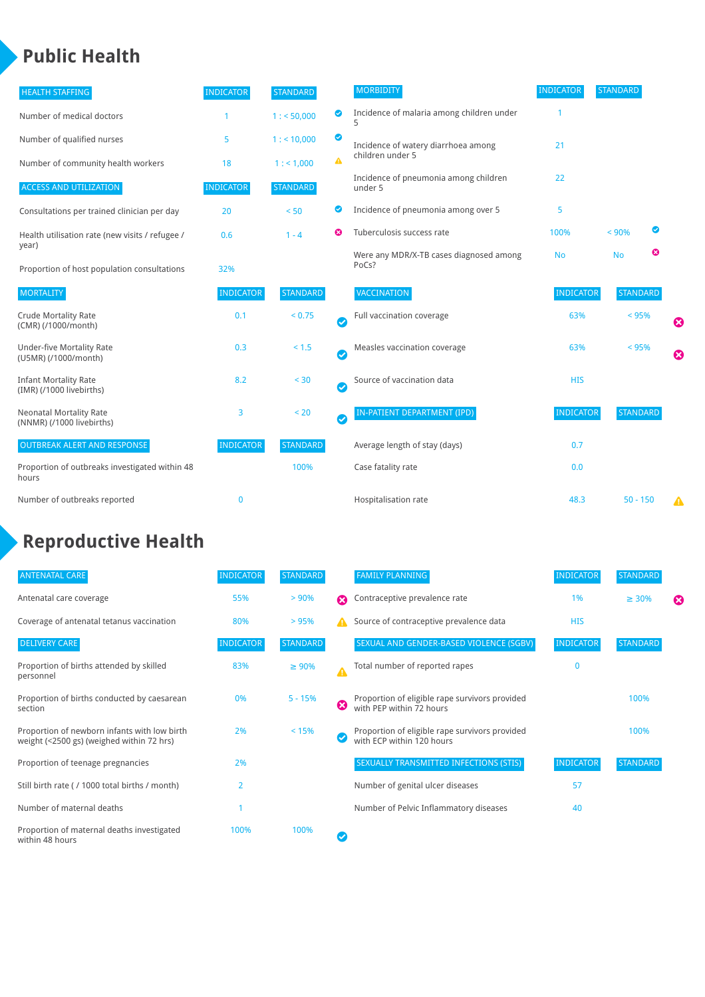# **Public Health**

| <b>HEALTH STAFFING</b>                                      | <b>INDICATOR</b> | <b>STANDARD</b> |           | <b>MORBIDITY</b>                                 | <b>INDICATOR</b> | <b>STANDARD</b> |                       |
|-------------------------------------------------------------|------------------|-----------------|-----------|--------------------------------------------------|------------------|-----------------|-----------------------|
| Number of medical doctors                                   |                  | 1: 50,000       | అ         | Incidence of malaria among children under        |                  |                 |                       |
| Number of qualified nurses                                  | 5                | 1:10,000        | ◙         | Incidence of watery diarrhoea among              | 21               |                 |                       |
| Number of community health workers                          | 18               | 1: 1,000        | A         | children under 5                                 |                  |                 |                       |
| <b>ACCESS AND UTILIZATION</b>                               | <b>INDICATOR</b> | <b>STANDARD</b> |           | Incidence of pneumonia among children<br>under 5 | 22               |                 |                       |
| Consultations per trained clinician per day                 | 20               | < 50            | ◙         | Incidence of pneumonia among over 5              | 5                |                 |                       |
| Health utilisation rate (new visits / refugee /             | 0.6              | $1 - 4$         | Ø         | Tuberculosis success rate                        | 100%             | < 90%           |                       |
| year)<br>Proportion of host population consultations        | 32%              |                 |           | Were any MDR/X-TB cases diagnosed among<br>PoCs? | <b>No</b>        | ఴ<br><b>No</b>  |                       |
| <b>MORTALITY</b>                                            | <b>INDICATOR</b> | <b>STANDARD</b> |           | VACCINATION                                      | <b>INDICATOR</b> | <b>STANDARD</b> |                       |
| <b>Crude Mortality Rate</b><br>(CMR) (/1000/month)          | 0.1              | < 0.75          | Ø         | Full vaccination coverage                        | 63%              | < 95%           | Ø                     |
| <b>Under-five Mortality Rate</b><br>(U5MR) (/1000/month)    | 0.3              | $< 1.5$         | $\bullet$ | Measles vaccination coverage                     | 63%              | < 95%           | $\boldsymbol{\Omega}$ |
| <b>Infant Mortality Rate</b><br>(IMR) (/1000 livebirths)    | 8.2              | < 30            | Ø         | Source of vaccination data                       | <b>HIS</b>       |                 |                       |
| <b>Neonatal Mortality Rate</b><br>(NNMR) (/1000 livebirths) | 3                | < 20            | $\bullet$ | <b>IN-PATIENT DEPARTMENT (IPD)</b>               | <b>INDICATOR</b> | <b>STANDARD</b> |                       |
| <b>OUTBREAK ALERT AND RESPONSE</b>                          | <b>INDICATOR</b> | <b>STANDARD</b> |           | Average length of stay (days)                    | 0.7              |                 |                       |
| Proportion of outbreaks investigated within 48<br>hours     |                  | 100%            |           | Case fatality rate                               | 0.0              |                 |                       |
| Number of outbreaks reported                                | $\mathbf 0$      |                 |           | Hospitalisation rate                             | 48.3             | $50 - 150$      | A                     |

# **Reproductive Health**

| <b>ANTENATAL CARE</b>                                                                     | <b>INDICATOR</b> | <b>STANDARD</b> |                  | <b>FAMILY PLANNING</b>                                                      | <b>INDICATOR</b> | <b>STANDARD</b> |   |
|-------------------------------------------------------------------------------------------|------------------|-----------------|------------------|-----------------------------------------------------------------------------|------------------|-----------------|---|
| Antenatal care coverage                                                                   | 55%              | > 90%           | Ω                | Contraceptive prevalence rate                                               | 1%               | $\geq 30\%$     | ⊠ |
| Coverage of antenatal tetanus vaccination                                                 | 80%              | > 95%           |                  | Source of contraceptive prevalence data                                     | <b>HIS</b>       |                 |   |
| <b>DELIVERY CARE</b>                                                                      | <b>INDICATOR</b> | <b>STANDARD</b> |                  | SEXUAL AND GENDER-BASED VIOLENCE (SGBV)                                     | <b>INDICATOR</b> | <b>STANDARD</b> |   |
| Proportion of births attended by skilled<br>personnel                                     | 83%              | $\geq 90\%$     | $\blacktriangle$ | Total number of reported rapes                                              | 0                |                 |   |
| Proportion of births conducted by caesarean<br>section                                    | 0%               | $5 - 15%$       | ☺                | Proportion of eligible rape survivors provided<br>with PEP within 72 hours  |                  | 100%            |   |
| Proportion of newborn infants with low birth<br>weight (<2500 gs) (weighed within 72 hrs) | 2%               | < 15%           |                  | Proportion of eligible rape survivors provided<br>with ECP within 120 hours |                  | 100%            |   |
| Proportion of teenage pregnancies                                                         | 2%               |                 |                  | SEXUALLY TRANSMITTED INFECTIONS (STIS)                                      | <b>INDICATOR</b> | <b>STANDARD</b> |   |
| Still birth rate (/ 1000 total births / month)                                            | $\overline{2}$   |                 |                  | Number of genital ulcer diseases                                            | 57               |                 |   |
| Number of maternal deaths                                                                 |                  |                 |                  | Number of Pelvic Inflammatory diseases                                      | 40               |                 |   |
| Proportion of maternal deaths investigated<br>within 48 hours                             | 100%             | 100%            |                  |                                                                             |                  |                 |   |